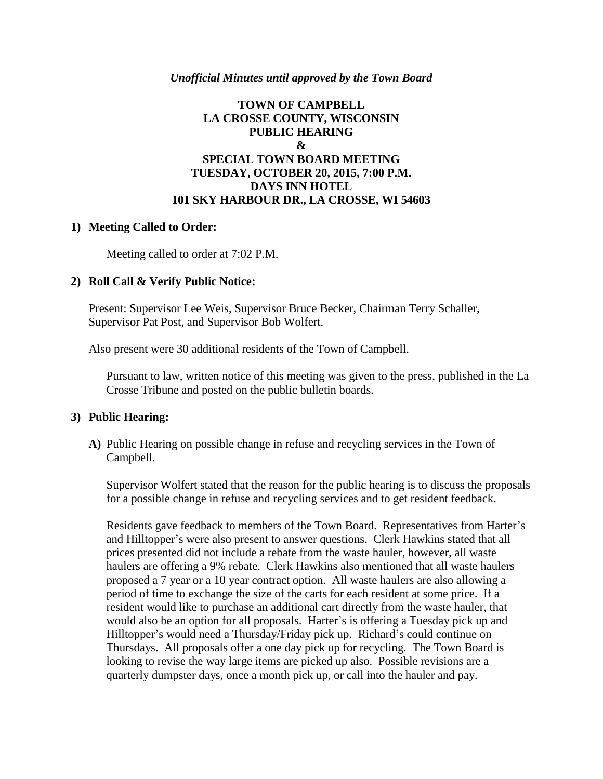## *Unofficial Minutes until approved by the Town Board*

## **TOWN OF CAMPBELL LA CROSSE COUNTY, WISCONSIN PUBLIC HEARING & SPECIAL TOWN BOARD MEETING TUESDAY, OCTOBER 20, 2015, 7:00 P.M. DAYS INN HOTEL 101 SKY HARBOUR DR., LA CROSSE, WI 54603**

## **1) Meeting Called to Order:**

Meeting called to order at 7:02 P.M.

## **2) Roll Call & Verify Public Notice:**

Present: Supervisor Lee Weis, Supervisor Bruce Becker, Chairman Terry Schaller, Supervisor Pat Post, and Supervisor Bob Wolfert.

Also present were 30 additional residents of the Town of Campbell.

Pursuant to law, written notice of this meeting was given to the press, published in the La Crosse Tribune and posted on the public bulletin boards.

#### **3) Public Hearing:**

**A)** Public Hearing on possible change in refuse and recycling services in the Town of Campbell.

Supervisor Wolfert stated that the reason for the public hearing is to discuss the proposals for a possible change in refuse and recycling services and to get resident feedback.

Residents gave feedback to members of the Town Board. Representatives from Harter's and Hilltopper's were also present to answer questions. Clerk Hawkins stated that all prices presented did not include a rebate from the waste hauler, however, all waste haulers are offering a 9% rebate. Clerk Hawkins also mentioned that all waste haulers proposed a 7 year or a 10 year contract option. All waste haulers are also allowing a period of time to exchange the size of the carts for each resident at some price. If a resident would like to purchase an additional cart directly from the waste hauler, that would also be an option for all proposals. Harter's is offering a Tuesday pick up and Hilltopper's would need a Thursday/Friday pick up. Richard's could continue on Thursdays. All proposals offer a one day pick up for recycling. The Town Board is looking to revise the way large items are picked up also. Possible revisions are a quarterly dumpster days, once a month pick up, or call into the hauler and pay.